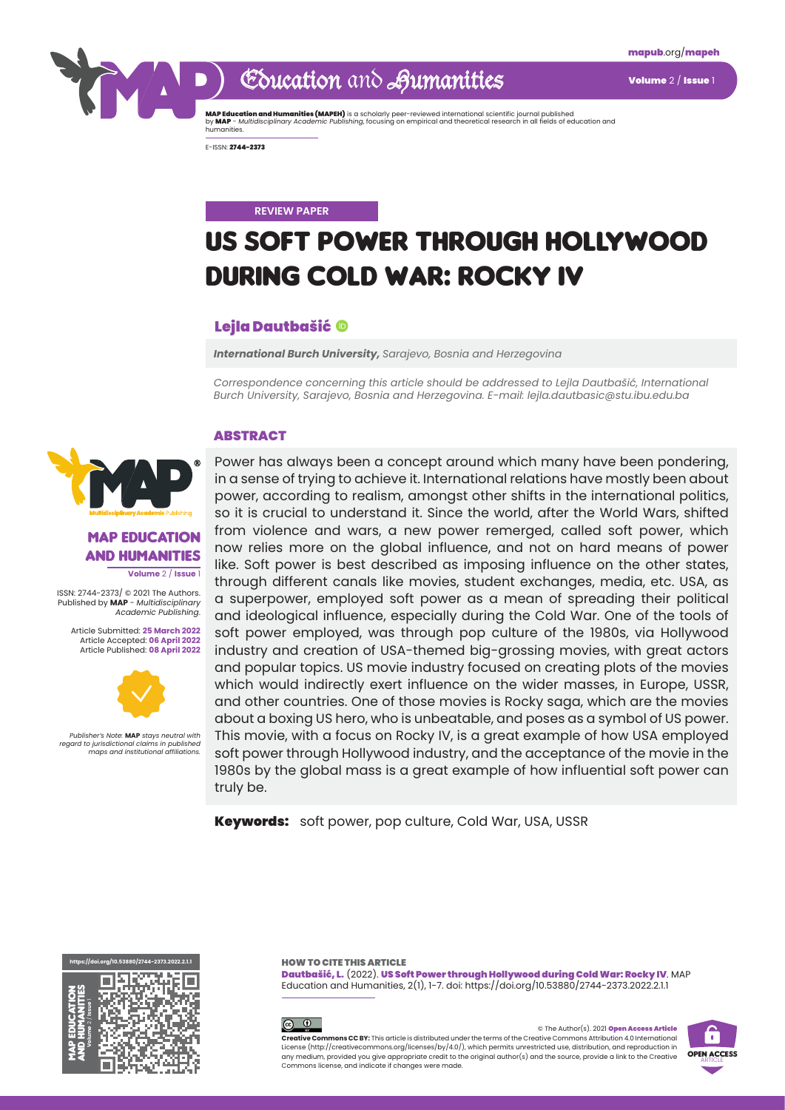

## Education and Aumanities Volume 2/ Issue

**MAP Education and Humanities (MAPEH)** is a scholarly peer-reviewed international scientific journal published<br>by **MAP** - *Multidisciplinary Academic Publishing,* focusing on empirical and theoretical research in all field

E-ISSN: 2744-2373

#### **REVIEW PAPER**

# US Soft Power through Hollywood during Cold War: Rocky IV

#### Lejla Dautbašić

*International Burch University, Sarajevo, Bosnia and Herzegovina*

*Correspondence concerning this article should be addressed to Lejla Dautbašić, International Burch University, Sarajevo, Bosnia and Herzegovina. E-mail: lejla.dautbasic@stu.ibu.edu.ba*

#### ABSTRACT



MAP Education and Humanities **Volume** 2 / **Issue** 1

ISSN: 2744-2373/ © 2021 The Authors. Published by **MAP** - *Multidisciplinary Academic Publishing*.

Article Submitted: **25 March 2022** Article Accepted: **06 April 2022** Article Published: **08 April 2022**



*Publisher's Note:* **MAP** *stays neutral with regard to jurisdictional claims in published maps and institutional affiliations.*

Power has always been a concept around which many have been pondering, in a sense of trying to achieve it. International relations have mostly been about power, according to realism, amongst other shifts in the international politics, so it is crucial to understand it. Since the world, after the World Wars, shifted from violence and wars, a new power remerged, called soft power, which now relies more on the global influence, and not on hard means of power like. Soft power is best described as imposing influence on the other states, through different canals like movies, student exchanges, media, etc. USA, as a superpower, employed soft power as a mean of spreading their political and ideological influence, especially during the Cold War. One of the tools of soft power employed, was through pop culture of the 1980s, via Hollywood industry and creation of USA-themed big-grossing movies, with great actors and popular topics. US movie industry focused on creating plots of the movies which would indirectly exert influence on the wider masses, in Europe, USSR, and other countries. One of those movies is Rocky saga, which are the movies about a boxing US hero, who is unbeatable, and poses as a symbol of US power. This movie, with a focus on Rocky IV, is a great example of how USA employed soft power through Hollywood industry, and the acceptance of the movie in the 1980s by the global mass is a great example of how influential soft power can truly be.

Keywords: soft power, pop culture, Cold War, USA, USSR

**<https://doi.org/10.53880/2744-2373.2022.2.1.1>**



Dautbašić, L. (2022). US Soft Power through Hollywood during Cold War: Rocky IV. MAP Education and Humanities, 2(1), 1-7. doi: https://doi.org/10.53880/2744-2373.2022.2.1.1 HOW TO CITE THIS ARTICLE



© The Author(s). 2021 Open Access Article **Creative Commons CC BY:** This article is distributed under the terms of the Creative Commons Attribution 4.0 International License (<http://creativecommons.org/licenses/by/4.0/>), which permits unrestricted use, distribution, and reproduction in any medium, provided you give appropriate credit to the original author(s) and the source, provide a link to the Creative Commons license, and indicate if changes were made.

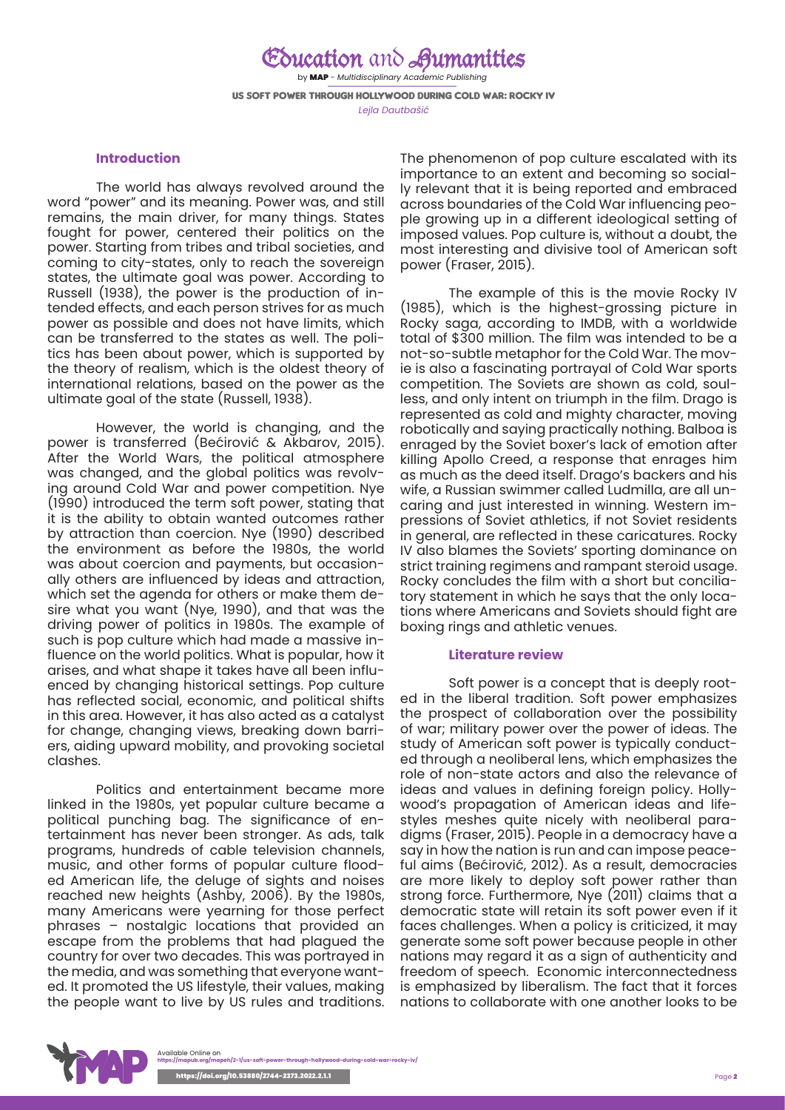Education and Aumanities by MAP - *Multidisciplinary Academic Publishing* US Soft Power through Hollywood during Cold War: Rocky IV *Lejla Dautbašić*

#### **Introduction**

The world has always revolved around the word "power" and its meaning. Power was, and still remains, the main driver, for many things. States fought for power, centered their politics on the power. Starting from tribes and tribal societies, and coming to city-states, only to reach the sovereign states, the ultimate goal was power. According to Russell (1938), the power is the production of intended effects, and each person strives for as much power as possible and does not have limits, which can be transferred to the states as well. The politics has been about power, which is supported by the theory of realism, which is the oldest theory of international relations, based on the power as the ultimate goal of the state (Russell, 1938).

However, the world is changing, and the power is transferred (Bećirović & Akbarov, 2015). After the World Wars, the political atmosphere was changed, and the global politics was revolving around Cold War and power competition. Nye (1990) introduced the term soft power, stating that it is the ability to obtain wanted outcomes rather by attraction than coercion. Nye (1990) described the environment as before the 1980s, the world was about coercion and payments, but occasionally others are influenced by ideas and attraction, which set the agenda for others or make them desire what you want (Nye, 1990), and that was the driving power of politics in 1980s. The example of such is pop culture which had made a massive influence on the world politics. What is popular, how it arises, and what shape it takes have all been influenced by changing historical settings. Pop culture has reflected social, economic, and political shifts in this area. However, it has also acted as a catalyst for change, changing views, breaking down barriers, aiding upward mobility, and provoking societal clashes.

Politics and entertainment became more linked in the 1980s, yet popular culture became a political punching bag. The significance of entertainment has never been stronger. As ads, talk programs, hundreds of cable television channels, music, and other forms of popular culture flooded American life, the deluge of sights and noises reached new heights (Ashby, 2006). By the 1980s, many Americans were yearning for those perfect phrases – nostalgic locations that provided an escape from the problems that had plagued the country for over two decades. This was portrayed in the media, and was something that everyone wanted. It promoted the US lifestyle, their values, making the people want to live by US rules and traditions.

The phenomenon of pop culture escalated with its importance to an extent and becoming so socially relevant that it is being reported and embraced across boundaries of the Cold War influencing people growing up in a different ideological setting of imposed values. Pop culture is, without a doubt, the most interesting and divisive tool of American soft power (Fraser, 2015).

The example of this is the movie Rocky IV (1985), which is the highest-grossing picture in Rocky saga, according to IMDB, with a worldwide total of \$300 million. The film was intended to be a not-so-subtle metaphor for the Cold War. The movie is also a fascinating portrayal of Cold War sports competition. The Soviets are shown as cold, soulless, and only intent on triumph in the film. Drago is represented as cold and mighty character, moving robotically and saying practically nothing. Balboa is enraged by the Soviet boxer's lack of emotion after killing Apollo Creed, a response that enrages him as much as the deed itself. Drago's backers and his wife, a Russian swimmer called Ludmilla, are all uncaring and just interested in winning. Western impressions of Soviet athletics, if not Soviet residents in general, are reflected in these caricatures. Rocky IV also blames the Soviets' sporting dominance on strict training regimens and rampant steroid usage. Rocky concludes the film with a short but conciliatory statement in which he says that the only locations where Americans and Soviets should fight are boxing rings and athletic venues.

#### **Literature review**

Soft power is a concept that is deeply rooted in the liberal tradition. Soft power emphasizes the prospect of collaboration over the possibility of war; military power over the power of ideas. The study of American soft power is typically conducted through a neoliberal lens, which emphasizes the role of non-state actors and also the relevance of ideas and values in defining foreign policy. Hollywood's propagation of American ideas and lifestyles meshes quite nicely with neoliberal paradigms (Fraser, 2015). People in a democracy have a say in how the nation is run and can impose peaceful aims (Bećirović, 2012). As a result, democracies are more likely to deploy soft power rather than strong force. Furthermore, Nye (2011) claims that a democratic state will retain its soft power even if it faces challenges. When a policy is criticized, it may generate some soft power because people in other nations may regard it as a sign of authenticity and freedom of speech. Economic interconnectedness is emphasized by liberalism. The fact that it forces nations to collaborate with one another looks to be

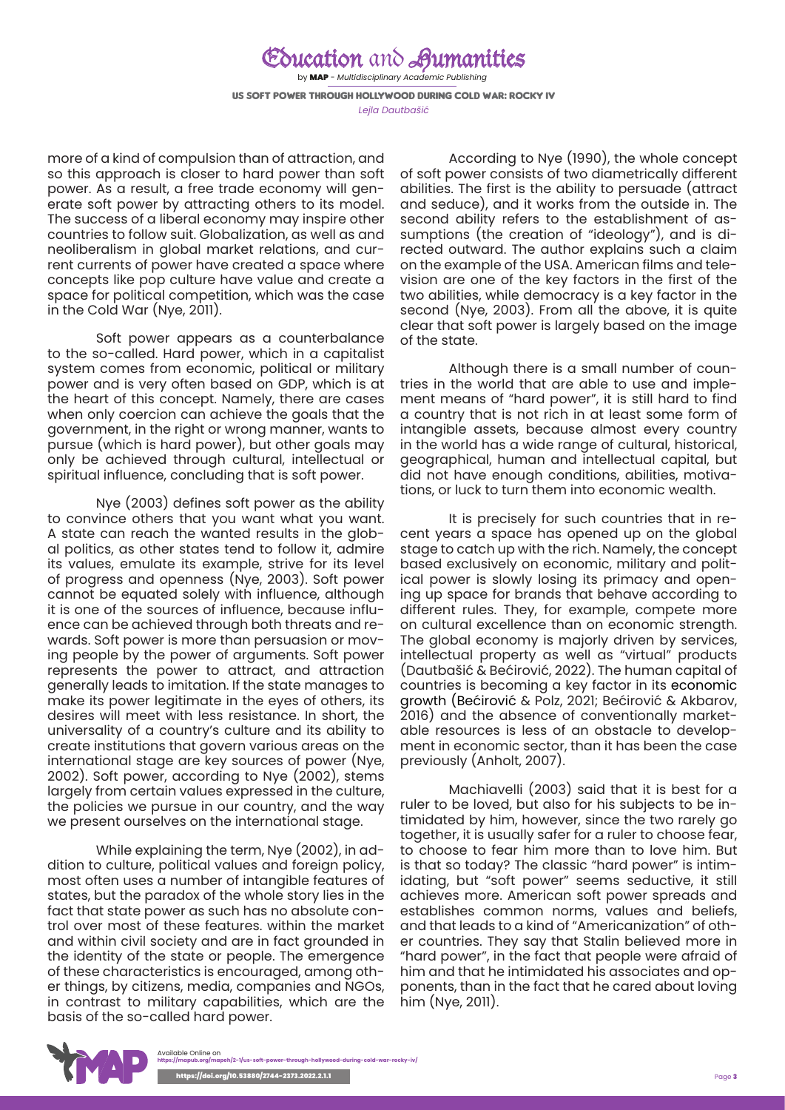## Education and Humanities

by MAP - *Multidisciplinary Academic Publishing* US Soft Power through Hollywood during Cold War: Rocky IV *Lejla Dautbašić*

more of a kind of compulsion than of attraction, and so this approach is closer to hard power than soft power. As a result, a free trade economy will generate soft power by attracting others to its model. The success of a liberal economy may inspire other countries to follow suit. Globalization, as well as and neoliberalism in global market relations, and current currents of power have created a space where concepts like pop culture have value and create a space for political competition, which was the case in the Cold War (Nye, 2011).

Soft power appears as a counterbalance to the so-called. Hard power, which in a capitalist system comes from economic, political or military power and is very often based on GDP, which is at the heart of this concept. Namely, there are cases when only coercion can achieve the goals that the government, in the right or wrong manner, wants to pursue (which is hard power), but other goals may only be achieved through cultural, intellectual or spiritual influence, concluding that is soft power.

Nye (2003) defines soft power as the ability to convince others that you want what you want. A state can reach the wanted results in the global politics, as other states tend to follow it, admire its values, emulate its example, strive for its level of progress and openness (Nye, 2003). Soft power cannot be equated solely with influence, although it is one of the sources of influence, because influence can be achieved through both threats and rewards. Soft power is more than persuasion or moving people by the power of arguments. Soft power represents the power to attract, and attraction generally leads to imitation. If the state manages to make its power legitimate in the eyes of others, its desires will meet with less resistance. In short, the universality of a country's culture and its ability to create institutions that govern various areas on the international stage are key sources of power (Nye, 2002). Soft power, according to Nye (2002), stems largely from certain values expressed in the culture, the policies we pursue in our country, and the way we present ourselves on the international stage.

While explaining the term, Nye (2002), in addition to culture, political values and foreign policy, most often uses a number of intangible features of states, but the paradox of the whole story lies in the fact that state power as such has no absolute control over most of these features. within the market and within civil society and are in fact grounded in the identity of the state or people. The emergence of these characteristics is encouraged, among other things, by citizens, media, companies and NGOs, in contrast to military capabilities, which are the basis of the so-called hard power.

According to Nye (1990), the whole concept of soft power consists of two diametrically different abilities. The first is the ability to persuade (attract and seduce), and it works from the outside in. The second ability refers to the establishment of assumptions (the creation of "ideology"), and is directed outward. The author explains such a claim on the example of the USA. American films and television are one of the key factors in the first of the two abilities, while democracy is a key factor in the second (Nye, 2003). From all the above, it is quite clear that soft power is largely based on the image of the state.

Although there is a small number of countries in the world that are able to use and implement means of "hard power", it is still hard to find a country that is not rich in at least some form of intangible assets, because almost every country in the world has a wide range of cultural, historical, geographical, human and intellectual capital, but did not have enough conditions, abilities, motivations, or luck to turn them into economic wealth.

It is precisely for such countries that in recent years a space has opened up on the global stage to catch up with the rich. Namely, the concept based exclusively on economic, military and political power is slowly losing its primacy and opening up space for brands that behave according to different rules. They, for example, compete more on cultural excellence than on economic strength. The global economy is majorly driven by services, intellectual property as well as "virtual" products (Dautbašić & Bećirović, 2022). The human capital of countries is becoming a key factor in its economic growth (Bećirović & Polz, 2021; Bećirović & Akbarov, 2016) and the absence of conventionally marketable resources is less of an obstacle to development in economic sector, than it has been the case previously (Anholt, 2007).

Machiavelli (2003) said that it is best for a ruler to be loved, but also for his subjects to be intimidated by him, however, since the two rarely go together, it is usually safer for a ruler to choose fear, to choose to fear him more than to love him. But is that so today? The classic "hard power" is intimidating, but "soft power" seems seductive, it still achieves more. American soft power spreads and establishes common norms, values and beliefs, and that leads to a kind of "Americanization" of other countries. They say that Stalin believed more in "hard power", in the fact that people were afraid of him and that he intimidated his associates and opponents, than in the fact that he cared about loving him (Nye, 2011).

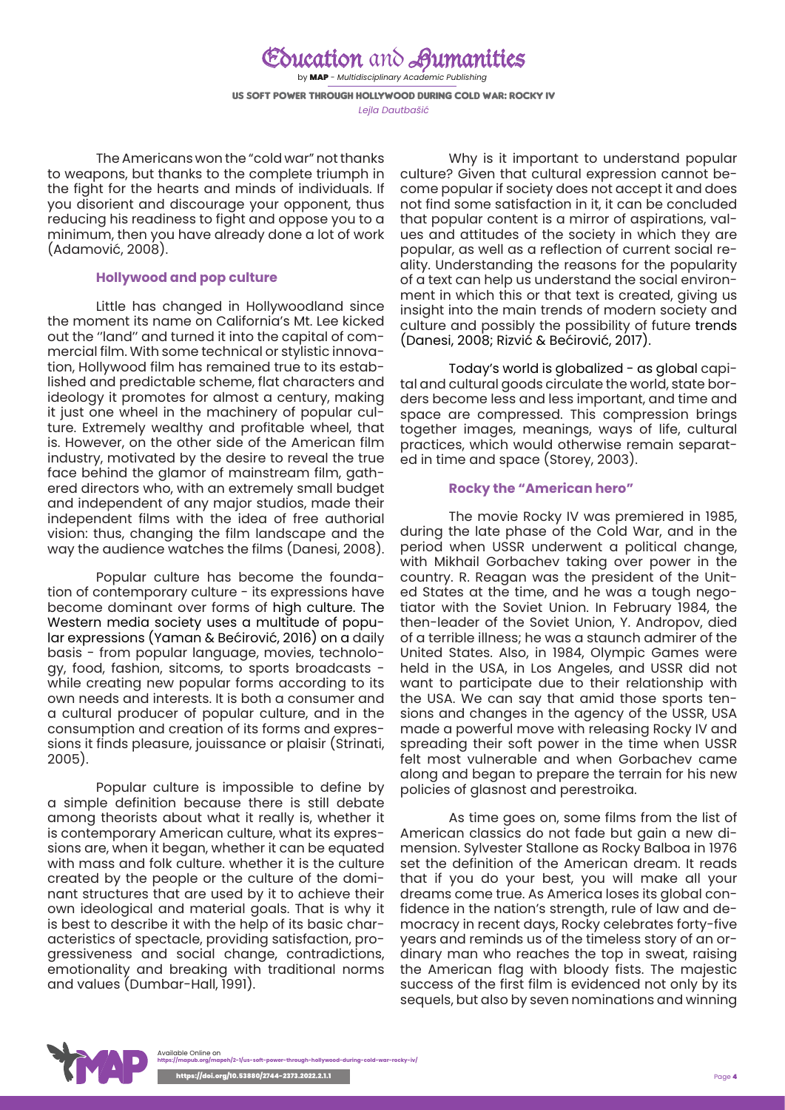### Education and Aumanities by MAP - *Multidisciplinary Academic Publishing*

US Soft Power through Hollywood during Cold War: Rocky IV *Lejla Dautbašić*

The Americans won the "cold war" not thanks to weapons, but thanks to the complete triumph in the fight for the hearts and minds of individuals. If you disorient and discourage your opponent, thus reducing his readiness to fight and oppose you to a minimum, then you have already done a lot of work (Adamović, 2008).

#### **Hollywood and pop culture**

Little has changed in Hollywoodland since the moment its name on California's Mt. Lee kicked out the ''land'' and turned it into the capital of commercial film. With some technical or stylistic innovation, Hollywood film has remained true to its established and predictable scheme, flat characters and ideology it promotes for almost a century, making it just one wheel in the machinery of popular culture. Extremely wealthy and profitable wheel, that is. However, on the other side of the American film industry, motivated by the desire to reveal the true face behind the glamor of mainstream film, gathered directors who, with an extremely small budget and independent of any major studios, made their independent films with the idea of free authorial vision: thus, changing the film landscape and the way the audience watches the films (Danesi, 2008).

Popular culture has become the foundation of contemporary culture - its expressions have become dominant over forms of high culture. The Western media society uses a multitude of popular expressions (Yaman & Bećirović, 2016) on a daily basis - from popular language, movies, technology, food, fashion, sitcoms, to sports broadcasts while creating new popular forms according to its own needs and interests. It is both a consumer and a cultural producer of popular culture, and in the consumption and creation of its forms and expressions it finds pleasure, jouissance or plaisir (Strinati, 2005).

Popular culture is impossible to define by a simple definition because there is still debate among theorists about what it really is, whether it is contemporary American culture, what its expressions are, when it began, whether it can be equated with mass and folk culture. whether it is the culture created by the people or the culture of the dominant structures that are used by it to achieve their own ideological and material goals. That is why it is best to describe it with the help of its basic characteristics of spectacle, providing satisfaction, progressiveness and social change, contradictions, emotionality and breaking with traditional norms and values (Dumbar-Hall, 1991).

Why is it important to understand popular culture? Given that cultural expression cannot become popular if society does not accept it and does not find some satisfaction in it, it can be concluded that popular content is a mirror of aspirations, values and attitudes of the society in which they are popular, as well as a reflection of current social reality. Understanding the reasons for the popularity of a text can help us understand the social environment in which this or that text is created, giving us insight into the main trends of modern society and culture and possibly the possibility of future trends (Danesi, 2008; Rizvić & Bećirović, 2017).

Today's world is globalized - as global capital and cultural goods circulate the world, state borders become less and less important, and time and space are compressed. This compression brings together images, meanings, ways of life, cultural practices, which would otherwise remain separated in time and space (Storey, 2003).

#### **Rocky the "American hero"**

The movie Rocky IV was premiered in 1985, during the late phase of the Cold War, and in the period when USSR underwent a political change, with Mikhail Gorbachev taking over power in the country. R. Reagan was the president of the United States at the time, and he was a tough negotiator with the Soviet Union. In February 1984, the then-leader of the Soviet Union, Y. Andropov, died of a terrible illness; he was a staunch admirer of the United States. Also, in 1984, Olympic Games were held in the USA, in Los Angeles, and USSR did not want to participate due to their relationship with the USA. We can say that amid those sports tensions and changes in the agency of the USSR, USA made a powerful move with releasing Rocky IV and spreading their soft power in the time when USSR felt most vulnerable and when Gorbachev came along and began to prepare the terrain for his new policies of glasnost and perestroika.

As time goes on, some films from the list of American classics do not fade but gain a new dimension. Sylvester Stallone as Rocky Balboa in 1976 set the definition of the American dream. It reads that if you do your best, you will make all your dreams come true. As America loses its global confidence in the nation's strength, rule of law and democracy in recent days, Rocky celebrates forty-five years and reminds us of the timeless story of an ordinary man who reaches the top in sweat, raising the American flag with bloody fists. The majestic success of the first film is evidenced not only by its sequels, but also by seven nominations and winning

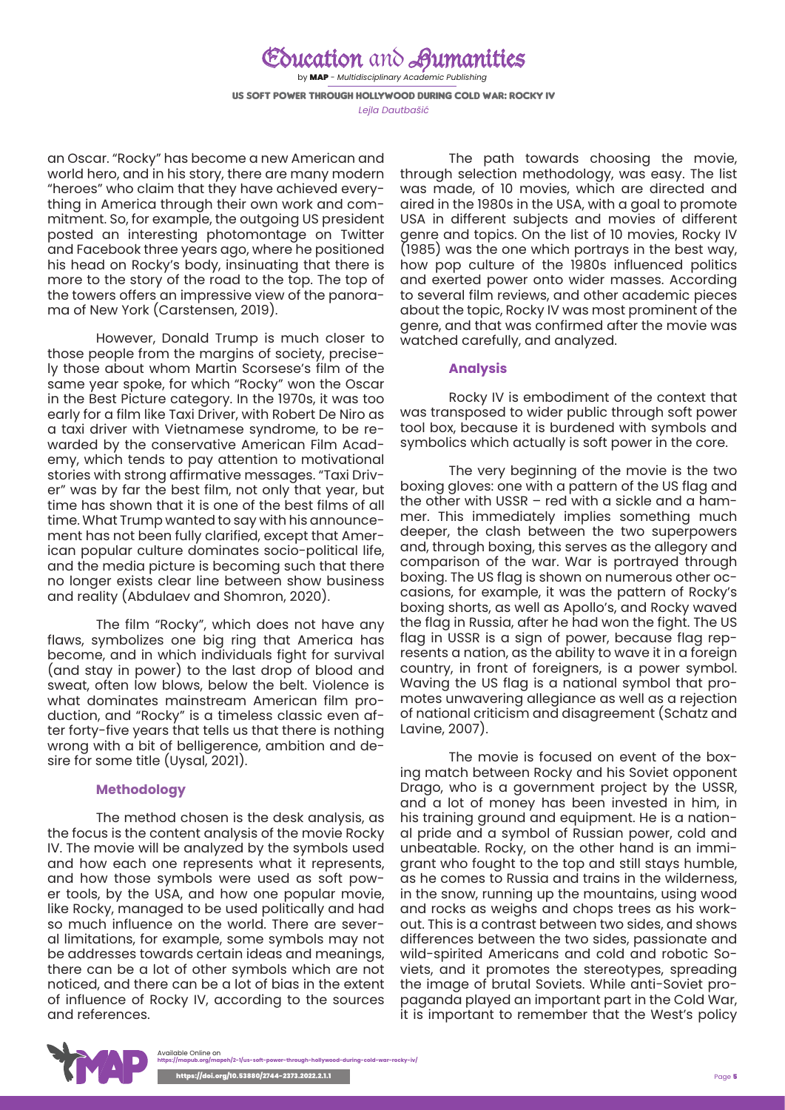### Education and Aumanities

by MAP - *Multidisciplinary Academic Publishing* US Soft Power through Hollywood during Cold War: Rocky IV *Lejla Dautbašić*

an Oscar. "Rocky" has become a new American and world hero, and in his story, there are many modern "heroes" who claim that they have achieved everything in America through their own work and commitment. So, for example, the outgoing US president posted an interesting photomontage on Twitter and Facebook three years ago, where he positioned his head on Rocky's body, insinuating that there is more to the story of the road to the top. The top of the towers offers an impressive view of the panorama of New York (Carstensen, 2019).

However, Donald Trump is much closer to those people from the margins of society, precisely those about whom Martin Scorsese's film of the same year spoke, for which "Rocky" won the Oscar in the Best Picture category. In the 1970s, it was too early for a film like Taxi Driver, with Robert De Niro as a taxi driver with Vietnamese syndrome, to be rewarded by the conservative American Film Academy, which tends to pay attention to motivational stories with strong affirmative messages. "Taxi Driver" was by far the best film, not only that year, but time has shown that it is one of the best films of all time. What Trump wanted to say with his announcement has not been fully clarified, except that American popular culture dominates socio-political life, and the media picture is becoming such that there no longer exists clear line between show business and reality (Abdulaev and Shomron, 2020).

The film "Rocky", which does not have any flaws, symbolizes one big ring that America has become, and in which individuals fight for survival (and stay in power) to the last drop of blood and sweat, often low blows, below the belt. Violence is what dominates mainstream American film production, and "Rocky" is a timeless classic even after forty-five years that tells us that there is nothing wrong with a bit of belligerence, ambition and desire for some title (Uysal, 2021).

#### **Methodology**

The method chosen is the desk analysis, as the focus is the content analysis of the movie Rocky IV. The movie will be analyzed by the symbols used and how each one represents what it represents, and how those symbols were used as soft power tools, by the USA, and how one popular movie, like Rocky, managed to be used politically and had so much influence on the world. There are several limitations, for example, some symbols may not be addresses towards certain ideas and meanings, there can be a lot of other symbols which are not noticed, and there can be a lot of bias in the extent of influence of Rocky IV, according to the sources and references.

The path towards choosing the movie, through selection methodology, was easy. The list was made, of 10 movies, which are directed and aired in the 1980s in the USA, with a goal to promote USA in different subjects and movies of different genre and topics. On the list of 10 movies, Rocky IV (1985) was the one which portrays in the best way, how pop culture of the 1980s influenced politics and exerted power onto wider masses. According to several film reviews, and other academic pieces about the topic, Rocky IV was most prominent of the genre, and that was confirmed after the movie was watched carefully, and analyzed.

#### **Analysis**

Rocky IV is embodiment of the context that was transposed to wider public through soft power tool box, because it is burdened with symbols and symbolics which actually is soft power in the core.

The very beginning of the movie is the two boxing gloves: one with a pattern of the US flag and the other with USSR – red with a sickle and a hammer. This immediately implies something much deeper, the clash between the two superpowers and, through boxing, this serves as the allegory and comparison of the war. War is portrayed through boxing. The US flag is shown on numerous other occasions, for example, it was the pattern of Rocky's boxing shorts, as well as Apollo's, and Rocky waved the flag in Russia, after he had won the fight. The US flag in USSR is a sign of power, because flag represents a nation, as the ability to wave it in a foreign country, in front of foreigners, is a power symbol. Waving the US flag is a national symbol that promotes unwavering allegiance as well as a rejection of national criticism and disagreement (Schatz and Lavine, 2007).

The movie is focused on event of the boxing match between Rocky and his Soviet opponent Drago, who is a government project by the USSR, and a lot of money has been invested in him, in his training ground and equipment. He is a national pride and a symbol of Russian power, cold and unbeatable. Rocky, on the other hand is an immigrant who fought to the top and still stays humble, as he comes to Russia and trains in the wilderness, in the snow, running up the mountains, using wood and rocks as weighs and chops trees as his workout. This is a contrast between two sides, and shows differences between the two sides, passionate and wild-spirited Americans and cold and robotic Soviets, and it promotes the stereotypes, spreading the image of brutal Soviets. While anti-Soviet propaganda played an important part in the Cold War, it is important to remember that the West's policy

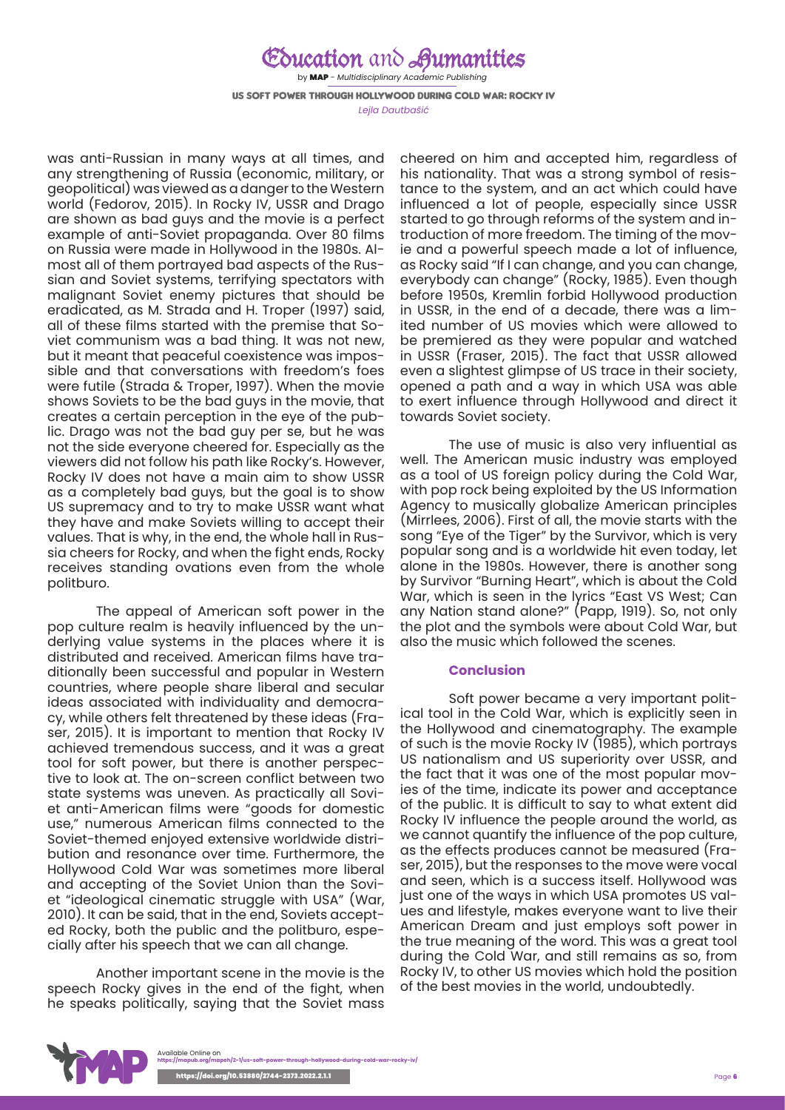## Education and Aumanities

by MAP - *Multidisciplinary Academic Publishing* US Soft Power through Hollywood during Cold War: Rocky IV *Lejla Dautbašić*

was anti-Russian in many ways at all times, and any strengthening of Russia (economic, military, or geopolitical) was viewed as a danger to the Western world (Fedorov, 2015). In Rocky IV, USSR and Drago are shown as bad guys and the movie is a perfect example of anti-Soviet propaganda. Over 80 films on Russia were made in Hollywood in the 1980s. Almost all of them portrayed bad aspects of the Russian and Soviet systems, terrifying spectators with malignant Soviet enemy pictures that should be eradicated, as M. Strada and H. Troper (1997) said, all of these films started with the premise that Soviet communism was a bad thing. It was not new, but it meant that peaceful coexistence was impossible and that conversations with freedom's foes were futile (Strada & Troper, 1997). When the movie shows Soviets to be the bad guys in the movie, that creates a certain perception in the eye of the public. Drago was not the bad guy per se, but he was not the side everyone cheered for. Especially as the viewers did not follow his path like Rocky's. However, Rocky IV does not have a main aim to show USSR as a completely bad guys, but the goal is to show US supremacy and to try to make USSR want what they have and make Soviets willing to accept their values. That is why, in the end, the whole hall in Russia cheers for Rocky, and when the fight ends, Rocky receives standing ovations even from the whole politburo.

The appeal of American soft power in the pop culture realm is heavily influenced by the underlying value systems in the places where it is distributed and received. American films have traditionally been successful and popular in Western countries, where people share liberal and secular ideas associated with individuality and democracy, while others felt threatened by these ideas (Fraser, 2015). It is important to mention that Rocky IV achieved tremendous success, and it was a great tool for soft power, but there is another perspective to look at. The on-screen conflict between two state systems was uneven. As practically all Soviet anti-American films were "goods for domestic use," numerous American films connected to the Soviet-themed enjoyed extensive worldwide distribution and resonance over time. Furthermore, the Hollywood Cold War was sometimes more liberal and accepting of the Soviet Union than the Soviet "ideological cinematic struggle with USA" (War, 2010). It can be said, that in the end, Soviets accepted Rocky, both the public and the politburo, especially after his speech that we can all change.

Another important scene in the movie is the speech Rocky gives in the end of the fight, when he speaks politically, saying that the Soviet mass

cheered on him and accepted him, regardless of his nationality. That was a strong symbol of resistance to the system, and an act which could have influenced a lot of people, especially since USSR started to go through reforms of the system and introduction of more freedom. The timing of the movie and a powerful speech made a lot of influence, as Rocky said "If I can change, and you can change, everybody can change" (Rocky, 1985). Even though before 1950s, Kremlin forbid Hollywood production in USSR, in the end of a decade, there was a limited number of US movies which were allowed to be premiered as they were popular and watched in USSR (Fraser, 2015). The fact that USSR allowed even a slightest glimpse of US trace in their society, opened a path and a way in which USA was able to exert influence through Hollywood and direct it towards Soviet society.

The use of music is also very influential as well. The American music industry was employed as a tool of US foreign policy during the Cold War, with pop rock being exploited by the US Information Agency to musically globalize American principles (Mirrlees, 2006). First of all, the movie starts with the song "Eye of the Tiger" by the Survivor, which is very popular song and is a worldwide hit even today, let alone in the 1980s. However, there is another song by Survivor "Burning Heart", which is about the Cold War, which is seen in the lyrics "East VS West; Can any Nation stand alone?" (Papp, 1919). So, not only the plot and the symbols were about Cold War, but also the music which followed the scenes.

#### **Conclusion**

Soft power became a very important political tool in the Cold War, which is explicitly seen in the Hollywood and cinematography. The example of such is the movie Rocky IV (1985), which portrays US nationalism and US superiority over USSR, and the fact that it was one of the most popular movies of the time, indicate its power and acceptance of the public. It is difficult to say to what extent did Rocky IV influence the people around the world, as we cannot quantify the influence of the pop culture, as the effects produces cannot be measured (Fraser, 2015), but the responses to the move were vocal and seen, which is a success itself. Hollywood was just one of the ways in which USA promotes US values and lifestyle, makes everyone want to live their American Dream and just employs soft power in the true meaning of the word. This was a great tool during the Cold War, and still remains as so, from Rocky IV, to other US movies which hold the position of the best movies in the world, undoubtedly.